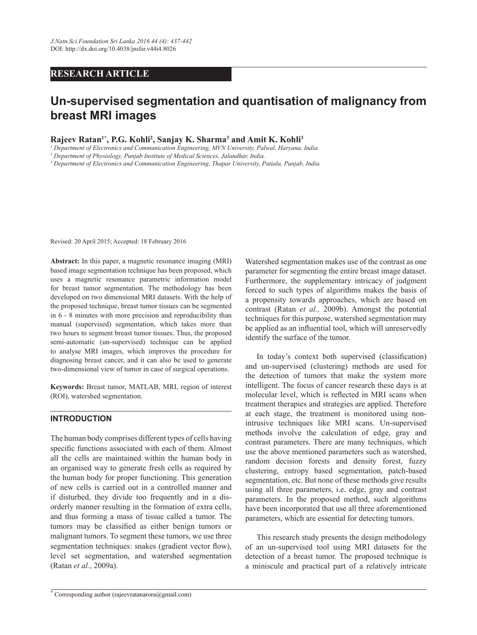# **RESEARCH ARTICLE**

# **Un-supervised segmentation and quantisation of malignancy from breast MRI images**

Rajeev Ratan<sup>1\*</sup>, P.G. Kohli<sup>2</sup>, Sanjay K. Sharma<sup>3</sup> and Amit K. Kohli<sup>3</sup>

*1 Department of Electronics and Communication Engineering, MVN University, Palwal, Haryana, India.*

*2 Department of Physiology, Punjab Institute of Medical Sciences, Jalandhar, India.*

*3 Department of Electronics and Communication Engineering, Thapar University, Patiala, Punjab, India.*

Revised: 20 April 2015; Accepted: 18 February 2016

**Abstract:** In this paper, a magnetic resonance imaging (MRI) based image segmentation technique has been proposed, which uses a magnetic resonance parametric information model for breast tumor segmentation. The methodology has been developed on two dimensional MRI datasets. With the help of the proposed technique, breast tumor tissues can be segmented in 6 - 8 minutes with more precision and reproducibility than manual (supervised) segmentation, which takes more than two hours to segment breast tumor tissues. Thus, the proposed semi-automatic (un-supervised) technique can be applied to analyse MRI images, which improves the procedure for diagnosing breast cancer, and it can also be used to generate two-dimensional view of tumor in case of surgical operations.

Keywords: Breast tumor, MATLAB, MRI, region of interest (ROI), watershed segmentation.

#### **INTRODUCTION**

The human body comprises different types of cells having specific functions associated with each of them. Almost all the cells are maintained within the human body in an organised way to generate fresh cells as required by the human body for proper functioning. This generation of new cells is carried out in a controlled manner and if disturbed, they divide too frequently and in a disorderly manner resulting in the formation of extra cells, and thus forming a mass of tissue called a tumor. The tumors may be classified as either benign tumors or malignant tumors. To segment these tumors, we use three segmentation techniques: snakes (gradient vector flow), level set segmentation, and watershed segmentation (Ratan *et al.*, 2009a).

Watershed segmentation makes use of the contrast as one parameter for segmenting the entire breast image dataset. Furthermore, the supplementary intricacy of judgment forced to such types of algorithms makes the basis of a propensity towards approaches, which are based on contrast (Ratan *et al.,* 2009b). Amongst the potential techniques for this purpose, watershed segmentation may be applied as an influential tool, which will unreservedly identify the surface of the tumor.

In today's context both supervised (classification) and un-supervised (clustering) methods are used for the detection of tumors that make the system more intelligent. The focus of cancer research these days is at molecular level, which is reflected in MRI scans when treatment therapies and strategies are applied. Therefore at each stage, the treatment is monitored using nonintrusive techniques like MRI scans. Un-supervised methods involve the calculation of edge, gray and contrast parameters. There are many techniques, which use the above mentioned parameters such as watershed, random decision forests and density forest, fuzzy clustering, entropy based segmentation, patch-based segmentation, etc. But none of these methods give results using all three parameters, i.e. edge, gray and contrast parameters. In the proposed method, such algorithms have been incorporated that use all three aforementioned parameters, which are essential for detecting tumors.

 This research study presents the design methodology of an un-supervised tool using MRI datasets for the detection of a breast tumor. The proposed technique is a miniscule and practical part of a relatively intricate

**<sup>\*</sup>** Corresponding author (rajeevratanarora@gmail.com)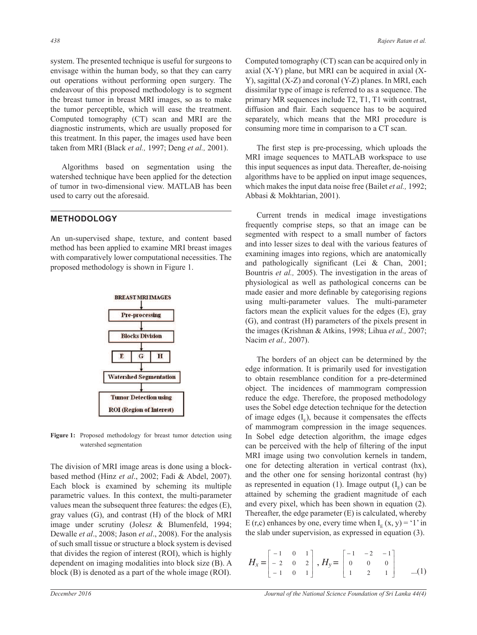system. The presented technique is useful for surgeons to envisage within the human body, so that they can carry out operations without performing open surgery. The endeavour of this proposed methodology is to segment the breast tumor in breast MRI images, so as to make the tumor perceptible, which will ease the treatment. Computed tomography (CT) scan and MRI are the diagnostic instruments, which are usually proposed for this treatment. In this paper, the images used have been taken from MRI (Black *et al.,* 1997; Deng *et al.,* 2001).

 Algorithms based on segmentation using the watershed technique have been applied for the detection of tumor in two-dimensional view. MATLAB has been used to carry out the aforesaid.

## **METHODOLOGY**

An un-supervised shape, texture, and content based method has been applied to examine MRI breast images with comparatively lower computational necessities. The proposed methodology is shown in Figure 1.



Figure 1: Proposed methodology for breast tumor detection using watershed segmentation

The division of MRI image areas is done using a blockbased method (Hinz *et al*., 2002; Fadi & Abdel, 2007). Each block is examined by scheming its multiple parametric values. In this context, the multi-parameter values mean the subsequent three features: the edges (E), gray values (G), and contrast (H) of the block of MRI image under scrutiny (Jolesz & Blumenfeld, 1994; Dewalle *et al*., 2008; Jason *et al*., 2008). For the analysis of such small tissue or structure a block system is devised that divides the region of interest (ROI), which is highly dependent on imaging modalities into block size (B). A block (B) is denoted as a part of the whole image (ROI).

Computed tomography (CT) scan can be acquired only in axial  $(X-Y)$  plane, but MRI can be acquired in axial  $(X-Y)$ Y), sagittal (X-Z) and coronal (Y-Z) planes. In MRI, each dissimilar type of image is referred to as a sequence. The primary MR sequences include T2, T1, T1 with contrast, diffusion and flair. Each sequence has to be acquired separately, which means that the MRI procedure is consuming more time in comparison to a CT scan.

The first step is pre-processing, which uploads the MRI image sequences to MATLAB workspace to use this input sequences as input data. Thereafter, de-noising algorithms have to be applied on input image sequences, which makes the input data noise free (Bailet *et al.,* 1992; Abbasi & Mokhtarian, 2001).

 Current trends in medical image investigations frequently comprise steps, so that an image can be segmented with respect to a small number of factors and into lesser sizes to deal with the various features of examining images into regions, which are anatomically and pathologically significant (Lei & Chan, 2001; Bountris *et al.,* 2005). The investigation in the areas of physiological as well as pathological concerns can be made easier and more definable by categorising regions using multi-parameter values. The multi-parameter factors mean the explicit values for the edges (E), gray (G), and contrast (H) parameters of the pixels present in the images (Krishnan & Atkins, 1998; Lihua *et al.,* 2007; Nacim *et al.,* 2007).

 The borders of an object can be determined by the edge information. It is primarily used for investigation to obtain resemblance condition for a pre-determined object. The incidences of mammogram compression reduce the edge. Therefore, the proposed methodology uses the Sobel edge detection technique for the detection of image edges  $(I<sub>E</sub>)$ , because it compensates the effects of mammogram compression in the image sequences. In Sobel edge detection algorithm, the image edges can be perceived with the help of filtering of the input MRI image using two convolution kernels in tandem, one for detecting alteration in vertical contrast (hx), and the other one for sensing horizontal contrast (hy) as represented in equation (1). Image output  $(I<sub>E</sub>)$  can be attained by scheming the gradient magnitude of each and every pixel, which has been shown in equation (2). Thereafter, the edge parameter (E) is calculated, whereby E (r,c) enhances by one, every time when  $I_E(x, y) = '1'$  in the slab under supervision, as expressed in equation (3).

$$
H_x = \begin{bmatrix} -1 & 0 & 1 \\ -2 & 0 & 2 \\ -1 & 0 & 1 \end{bmatrix}, H_y = \begin{bmatrix} -1 & -2 & -1 \\ 0 & 0 & 0 \\ 1 & 2 & 1 \end{bmatrix} \quad ...(1)
$$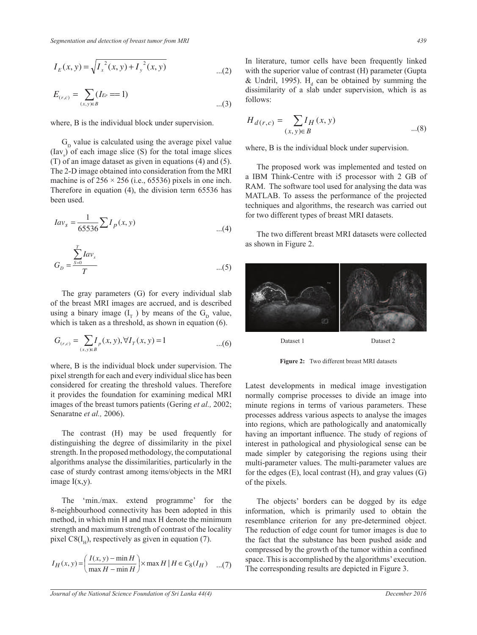$$
E_{(r,c)} = \sum_{(x,y)\in B} (I_{E_P} == 1) \qquad ...(3)
$$

where, B is the individual block under supervision.

 $G<sub>D</sub>$  value is calculated using the average pixel value  $(Iav<sub>s</sub>)$  of each image slice (S) for the total image slices (T) of an image dataset as given in equations (4) and (5). The 2-D image obtained into consideration from the MRI machine is of  $256 \times 256$  (i.e., 65536) pixels in one inch. Therefore in equation (4), the division term 65536 has been used.

$$
Iav_s = \frac{1}{65536} \sum I_p(x, y)
$$
 for two different types of breast N  
the two different breast MRI  
of fewer in Figure 2.

$$
G_D = \frac{\sum_{s=0}^{T} I a v_s}{T}
$$
...(5)

The gray parameters  $(G)$  for every individual slab<br>  $G$  the hand MDI improvements and individual of the breast MRI images are accrued, and is described using a binary image  $(I_T)$  by means of the  $G_D$  value, which is taken as a threshold, as shown in equation (6).

$$
G_{(r,c)} = \sum_{(x,y)\in B} I_p(x, y), \forall I_T(x, y) = 1 \quad ...(6)
$$

where, B is the individual block under supervision. The pixel strength for each and every individual slice has been considered for creating the threshold values. Therefore it provides the foundation for examining medical MRI images of the breast tumors patients (Gering *et al.,* 2002; Senaratne *et al.,* 2006).

 The contrast (H) may be used frequently for distinguishing the degree of dissimilarity in the pixel strength. In the proposed methodology, the computational algorithms analyse the dissimilarities, particularly in the case of sturdy contrast among items/objects in the MRI image  $I(x,y)$ .

The 'min./max. extend programme' for the 8-neighbourhood connectivity has been adopted in this method, in which min H and max H denote the minimum strength and maximum strength of contrast of the locality pixel  $\text{C8(I}_{\text{H}})$ , respectively as given in equation (7).

$$
I_H(x, y) = \left(\frac{I(x, y) - \min H}{\max H - \min H}\right) \times \max H \mid H \in C_8(I_H) \quad ...(7)
$$

 $\overline{a}$ 

 (2) with the superior value of contrast (H) parameter (Gupta In literature, tumor cells have been frequently linked & Undril, 1995).  $H_d$  can be obtained by summing the dissimilarity of a slab under supervision, which is as follows:

$$
H_{d(r,c)} = \sum_{(x,y)\in B} I_H(x,y) \tag{8}
$$

where, B is the individual block under supervision.

 The proposed work was implemented and tested on a IBM Think-Centre with i5 processor with 2 GB of RAM. The software tool used for analysing the data was MATLAB. To assess the performance of the projected techniques and algorithms, the research was carried out for two different types of breast MRI datasets.

 The two different breast MRI datasets were collected as shown in Figure 2.



Figure 2: Two different breast MRI datasets

Latest developments in medical image investigation normally comprise processes to divide an image into minute regions in terms of various parameters. These processes address various aspects to analyse the images into regions, which are pathologically and anatomically having an important influence. The study of regions of interest in pathological and physiological sense can be made simpler by categorising the regions using their multi-parameter values. The multi-parameter values are for the edges (E), local contrast (H), and gray values (G) of the pixels.

 $=\left(\frac{I(x,y)-\min H}{\max H}\right) \times \max H \mid H \in C_8(I_H)$  (7) space. This is accomplished by the algorithms' execution. The objects' borders can be dogged by its edge information, which is primarily used to obtain the resemblance criterion for any pre-determined object. The reduction of edge count for tumor images is due to the fact that the substance has been pushed aside and compressed by the growth of the tumor within a confined The corresponding results are depicted in Figure 3.

¨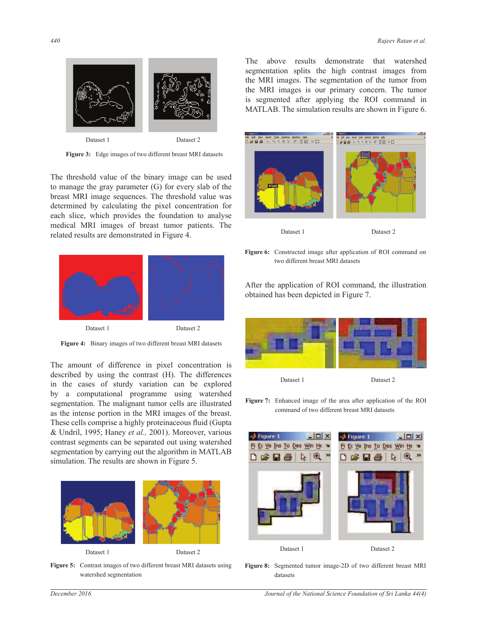

Figure 3: Edge images of two different breast MRI datasets

The threshold value of the binary image can be used to manage the gray parameter (G) for every slab of the breast MRI image sequences. The threshold value was determined by calculating the pixel concentration for each slice, which provides the foundation to analyse medical MRI images of breast tumor patients. The related results are demonstrated in Figure 4.



Figure 4: Binary images of two different breast MRI datasets

The amount of difference in pixel concentration is described by using the contrast (H). The differences in the cases of sturdy variation can be explored by a computational programme using watershed segmentation. The malignant tumor cells are illustrated as the intense portion in the MRI images of the breast. These cells comprise a highly proteinaceous fluid (Gupta & Undril, 1995; Haney *et al.,* 2001). Moreover, various contrast segments can be separated out using watershed segmentation by carrying out the algorithm in MATLAB simulation. The results are shown in Figure 5.



Figure 5: Contrast images of two different breast MRI datasets using watershed segmentation

The above results demonstrate that watershed segmentation splits the high contrast images from the MRI images. The segmentation of the tumor from the MRI images is our primary concern. The tumor is segmented after applying the ROI command in MATLAB. The simulation results are shown in Figure 6.



Figure 6: Constructed image after application of ROI command on two different breast MRI datasets

After the application of ROI command, the illustration obtained has been depicted in Figure 7.



Figure 7: Enhanced image of the area after application of the ROI command of two different breast MRI datasets



**Figure 8:** Segmented tumor image-2D of two different breast MRI datasets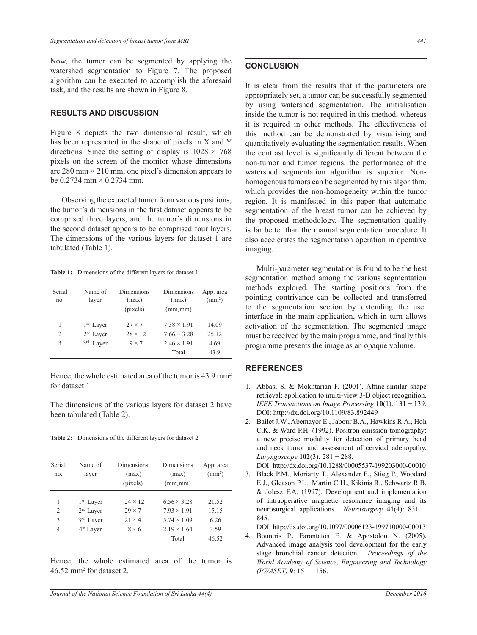Now, the tumor can be segmented by applying the watershed segmentation to Figure 7. The proposed algorithm can be executed to accomplish the aforesaid task, and the results are shown in Figure 8.

#### **RESULTS AND DISCUSSION**

Figure 8 depicts the two dimensional result, which has been represented in the shape of pixels in X and Y directions. Since the setting of display is  $1028 \times 768$ pixels on the screen of the monitor whose dimensions are 280 mm  $\times$  210 mm, one pixel's dimension appears to be 0.2734 mm  $\times$  0.2734 mm.

 Observing the extracted tumor from various positions, the tumor's dimensions in the first dataset appears to be comprised three layers, and the tumor's dimensions in the second dataset appears to be comprised four layers. The dimensions of the various layers for dataset 1 are tabulated (Table 1).

Table 1: Dimensions of the different layers for dataset 1

| Serial<br>no.  | Name of<br>layer      | Dimensions<br>(max) | Dimensions<br>(max) | App. area<br>$\text{ (mm}^2\text{)}$ |
|----------------|-----------------------|---------------------|---------------------|--------------------------------------|
|                |                       | (pixels)            | $(mm_{\ast}mm)$     |                                      |
|                | $1st$ Layer           | $27 \times 7$       | $7.38 \times 1.91$  | 14.09                                |
| $\overline{c}$ | 2 <sup>nd</sup> Layer | $28 \times 12$      | $7.66 \times 3.28$  | 25.12                                |
| 3              | 3 <sup>rd</sup> Laver | $9 \times 7$        | $2.46 \times 1.91$  | 4.69                                 |
|                |                       |                     | Total               | 43.9                                 |

Hence, the whole estimated area of the tumor is 43.9 mm<sup>2</sup> for dataset 1.

The dimensions of the various layers for dataset 2 have been tabulated (Table 2).

Table 2: Dimensions of the different layers for dataset 2

| Serial<br>no.  | Name of<br>layer      | Dimensions<br>(max)<br>(pixels) | Dimensions<br>(max)<br>$(mm_{\ast}mm)$ | App. area<br>$\text{ (mm}^2\text{)}$ |
|----------------|-----------------------|---------------------------------|----------------------------------------|--------------------------------------|
| 1              | 1 <sup>st</sup> Layer | $24 \times 12$                  | $6.56 \times 3.28$                     | 21.52                                |
| $\overline{2}$ | $2nd$ Laver           | $29 \times 7$                   | $7.93 \times 1.91$                     | 15.15                                |
| 3              | 3rd Layer             | $21 \times 4$                   | $5.74 \times 1.09$                     | 6.26                                 |
| 4              | 4 <sup>th</sup> Layer | $8 \times 6$                    | $2.19 \times 1.64$<br>Total            | 3.59<br>46.52                        |

Hence, the whole estimated area of the tumor is 46.52 mm<sup>2</sup> for dataset 2.

## **CONCLUSION**

It is clear from the results that if the parameters are appropriately set, a tumor can be successfully segmented by using watershed segmentation. The initialisation inside the tumor is not required in this method, whereas it is required in other methods. The effectiveness of this method can be demonstrated by visualising and quantitatively evaluating the segmentation results. When the contrast level is significantly different between the non-tumor and tumor regions, the performance of the watershed segmentation algorithm is superior. Nonhomogenous tumors can be segmented by this algorithm, which provides the non-homogeneity within the tumor region. It is manifested in this paper that automatic segmentation of the breast tumor can be achieved by the proposed methodology. The segmentation quality is far better than the manual segmentation procedure. It also accelerates the segmentation operation in operative imaging.

 Multi-parameter segmentation is found to be the best segmentation method among the various segmentation methods explored. The starting positions from the pointing contrivance can be collected and transferred to the segmentation section by extending the user interface in the main application, which in turn allows activation of the segmentation. The segmented image must be received by the main programme, and finally this programme presents the image as an opaque volume.

### **REFERENCES**

- 1. Abbasi S. & Mokhtarian F. (2001). Affine-similar shape retrieval: application to multi-view 3-D object recognition. *IEEE Transactions on Image Processing*  $10(1)$ : 131 - 139. DOI: http://dx.doi.org/10.1109/83.892449
- 2. Bailet J.W., Abemayor E., Jabour B.A., Hawkins R.A., Hoh C.K. & Ward P.H. (1992). Positron emission tomography: a new precise modality for detection of primary head and neck tumor and assessment of cervical adenopathy. *Laryngoscope* **102**(3):  $281 - 288$ .
- DOI: http://dx.doi.org/10.1288/00005537-199203000-00010 3. Black P.M., Moriarty T., Alexander E., Stieg P., Woodard E.J., Gleason P.L., Martin C.H., Kikinis R., Schwartz R.B. & Jolesz F.A. (1997). Development and implementation of intraoperative magnetic resonance imaging and its neurosurgical applications. *Neurosurgery* 41(4): 831 -845.

DOI: http://dx.doi.org/10.1097/00006123-199710000-00013

4. Bountris P., Farantatos E. & Apostolou N. (2005). Advanced image analysis tool development for the early stage bronchial cancer detection*. Proceedings of the World Academy of Science, Engineering and Technology (PWASET)* **9**í